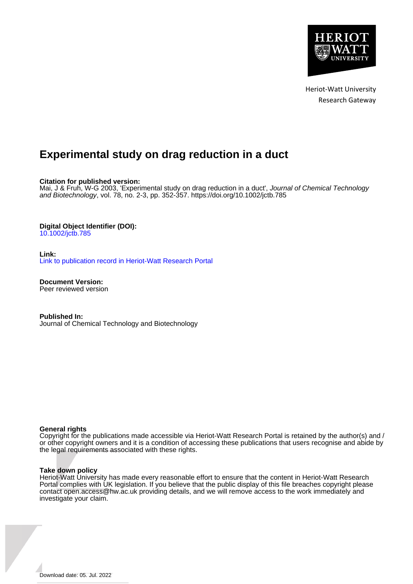

Heriot-Watt University Research Gateway

# **Experimental study on drag reduction in a duct**

**Citation for published version:**

Mai, J & Fruh, W-G 2003, 'Experimental study on drag reduction in a duct', Journal of Chemical Technology and Biotechnology, vol. 78, no. 2-3, pp. 352-357.<https://doi.org/10.1002/jctb.785>

## **Digital Object Identifier (DOI):**

[10.1002/jctb.785](https://doi.org/10.1002/jctb.785)

**Link:**

[Link to publication record in Heriot-Watt Research Portal](https://researchportal.hw.ac.uk/en/publications/7212176a-c78b-449a-b790-af225d0b3973)

**Document Version:** Peer reviewed version

**Published In:** Journal of Chemical Technology and Biotechnology

#### **General rights**

Copyright for the publications made accessible via Heriot-Watt Research Portal is retained by the author(s) and / or other copyright owners and it is a condition of accessing these publications that users recognise and abide by the legal requirements associated with these rights.

#### **Take down policy**

Heriot-Watt University has made every reasonable effort to ensure that the content in Heriot-Watt Research Portal complies with UK legislation. If you believe that the public display of this file breaches copyright please contact open.access@hw.ac.uk providing details, and we will remove access to the work immediately and investigate your claim.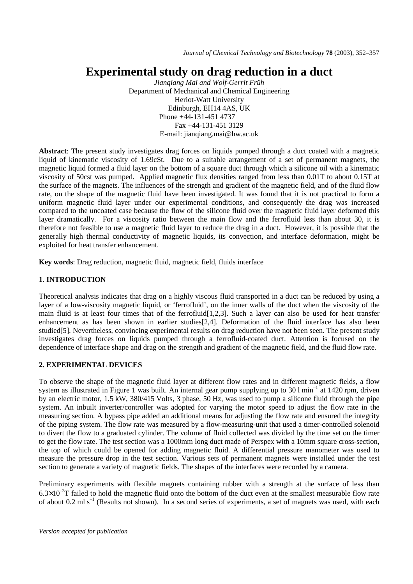# **Experimental study on drag reduction in a duct**

*Jianqiang Mai and Wolf-Gerrit Früh*  Department of Mechanical and Chemical Engineering Heriot-Watt University Edinburgh, EH14 4AS, UK Phone +44-131-451 4737 Fax +44-131-451 3129 E-mail: jianqiang.mai@hw.ac.uk

**Abstract**: The present study investigates drag forces on liquids pumped through a duct coated with a magnetic liquid of kinematic viscosity of 1.69cSt. Due to a suitable arrangement of a set of permanent magnets, the magnetic liquid formed a fluid layer on the bottom of a square duct through which a silicone oil with a kinematic viscosity of 50cst was pumped. Applied magnetic flux densities ranged from less than 0.01T to about 0.15T at the surface of the magnets. The influences of the strength and gradient of the magnetic field, and of the fluid flow rate, on the shape of the magnetic fluid have been investigated. It was found that it is not practical to form a uniform magnetic fluid layer under our experimental conditions, and consequently the drag was increased compared to the uncoated case because the flow of the silicone fluid over the magnetic fluid layer deformed this layer dramatically. For a viscosity ratio between the main flow and the ferrofluid less than about 30, it is therefore not feasible to use a magnetic fluid layer to reduce the drag in a duct. However, it is possible that the generally high thermal conductivity of magnetic liquids, its convection, and interface deformation, might be exploited for heat transfer enhancement.

**Key words**: Drag reduction, magnetic fluid, magnetic field, fluids interface

# **1. INTRODUCTION**

Theoretical analysis indicates that drag on a highly viscous fluid transported in a duct can be reduced by using a layer of a low-viscosity magnetic liquid, or 'ferrofluid', on the inner walls of the duct when the viscosity of the main fluid is at least four times that of the ferrofluid[1,2,3]. Such a layer can also be used for heat transfer enhancement as has been shown in earlier studies[2,4]. Deformation of the fluid interface has also been studied[5]. Nevertheless, convincing experimental results on drag reduction have not been seen. The present study investigates drag forces on liquids pumped through a ferrofluid-coated duct. Attention is focused on the dependence of interface shape and drag on the strength and gradient of the magnetic field, and the fluid flow rate.

# **2. EXPERIMENTAL DEVICES**

To observe the shape of the magnetic fluid layer at different flow rates and in different magnetic fields, a flow system as illustrated in Figure 1 was built. An internal gear pump supplying up to  $30 \text{ l min}^{-1}$  at  $1420 \text{ rpm}$ , driven by an electric motor, 1.5 kW, 380/415 Volts, 3 phase, 50 Hz, was used to pump a silicone fluid through the pipe system. An inbuilt inverter/controller was adopted for varying the motor speed to adjust the flow rate in the measuring section. A bypass pipe added an additional means for adjusting the flow rate and ensured the integrity of the piping system. The flow rate was measured by a flow-measuring-unit that used a timer-controlled solenoid to divert the flow to a graduated cylinder. The volume of fluid collected was divided by the time set on the timer to get the flow rate. The test section was a 1000mm long duct made of Perspex with a 10mm square cross-section, the top of which could be opened for adding magnetic fluid. A differential pressure manometer was used to measure the pressure drop in the test section. Various sets of permanent magnets were installed under the test section to generate a variety of magnetic fields. The shapes of the interfaces were recorded by a camera.

Preliminary experiments with flexible magnets containing rubber with a strength at the surface of less than  $6.3\times10^{-2}$ T failed to hold the magnetic fluid onto the bottom of the duct even at the smallest measurable flow rate of about 0.2 ml s<sup>-1</sup> (Results not shown). In a second series of experiments, a set of magnets was used, with each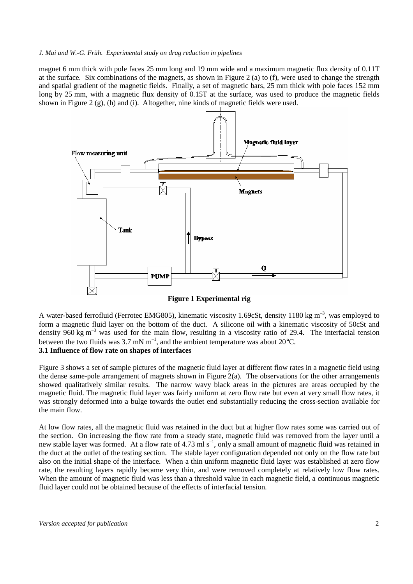#### *J. Mai and W.-G. Früh. Experimental study on drag reduction in pipelines*

magnet 6 mm thick with pole faces 25 mm long and 19 mm wide and a maximum magnetic flux density of 0.11T at the surface. Six combinations of the magnets, as shown in Figure 2 (a) to (f), were used to change the strength and spatial gradient of the magnetic fields. Finally, a set of magnetic bars, 25 mm thick with pole faces 152 mm long by 25 mm, with a magnetic flux density of 0.15T at the surface, was used to produce the magnetic fields shown in Figure 2  $(g)$ , (h) and (i). Altogether, nine kinds of magnetic fields were used.



**Figure 1 Experimental rig** 

A water-based ferrofluid (Ferrotec EMG805), kinematic viscosity 1.69cSt, density 1180 kg m<sup>-3</sup>, was employed to form a magnetic fluid layer on the bottom of the duct. A silicone oil with a kinematic viscosity of 50cSt and density 960 kg  $m^{-3}$  was used for the main flow, resulting in a viscosity ratio of 29.4. The interfacial tension between the two fluids was 3.7 mN  $m^{-1}$ , and the ambient temperature was about 20 $^{\circ}$ C.

### **3.1 Influence of flow rate on shapes of interfaces**

Figure 3 shows a set of sample pictures of the magnetic fluid layer at different flow rates in a magnetic field using the dense same-pole arrangement of magnets shown in Figure  $2(a)$ . The observations for the other arrangements showed qualitatively similar results. The narrow wavy black areas in the pictures are areas occupied by the magnetic fluid. The magnetic fluid layer was fairly uniform at zero flow rate but even at very small flow rates, it was strongly deformed into a bulge towards the outlet end substantially reducing the cross-section available for the main flow.

At low flow rates, all the magnetic fluid was retained in the duct but at higher flow rates some was carried out of the section. On increasing the flow rate from a steady state, magnetic fluid was removed from the layer until a new stable layer was formed. At a flow rate of 4.73 ml s<sup>-1</sup>, only a small amount of magnetic fluid was retained in the duct at the outlet of the testing section. The stable layer configuration depended not only on the flow rate but also on the initial shape of the interface. When a thin uniform magnetic fluid layer was established at zero flow rate, the resulting layers rapidly became very thin, and were removed completely at relatively low flow rates. When the amount of magnetic fluid was less than a threshold value in each magnetic field, a continuous magnetic fluid layer could not be obtained because of the effects of interfacial tension.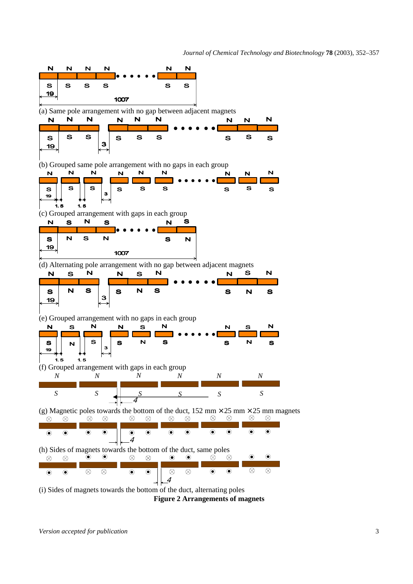

**Figure 2 Arrangements of magnets**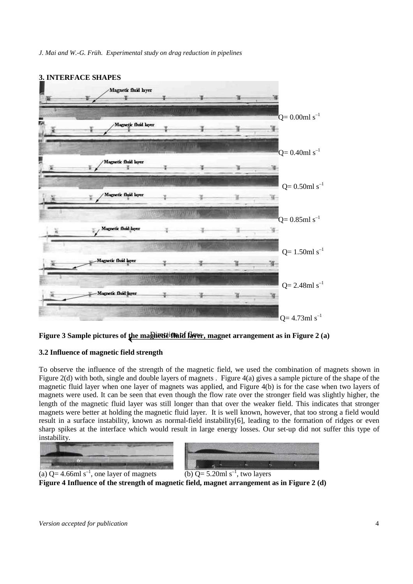



# **3.2 Influence of magnetic field strength**

To observe the influence of the strength of the magnetic field, we used the combination of magnets shown in Figure 2(d) with both, single and double layers of magnets . Figure 4(a) gives a sample picture of the shape of the magnetic fluid layer when one layer of magnets was applied, and Figure 4(b) is for the case when two layers of magnets were used. It can be seen that even though the flow rate over the stronger field was slightly higher, the length of the magnetic fluid layer was still longer than that over the weaker field. This indicates that stronger magnets were better at holding the magnetic fluid layer. It is well known, however, that too strong a field would result in a surface instability, known as normal-field instability[6], leading to the formation of ridges or even sharp spikes at the interface which would result in large energy losses. Our set-up did not suffer this type of instability.





(a)  $Q = 4.66 \text{ml s}^{-1}$ , one layer of magnets

(b)  $Q = 5.20 \text{ml s}^{-1}$ , two layers

**Figure 4 Influence of the strength of magnetic field, magnet arrangement as in Figure 2 (d)**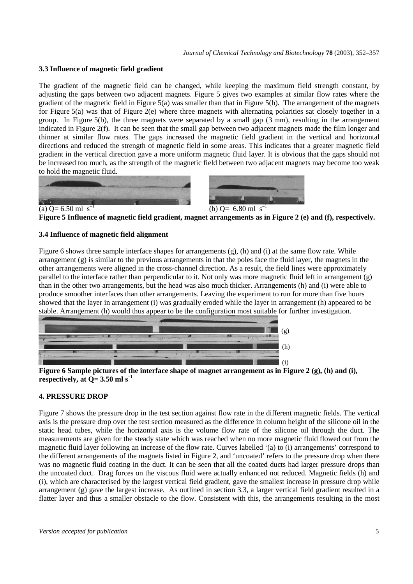## **3.3 Influence of magnetic field gradient**

The gradient of the magnetic field can be changed, while keeping the maximum field strength constant, by adjusting the gaps between two adjacent magnets. Figure 5 gives two examples at similar flow rates where the gradient of the magnetic field in Figure  $5(a)$  was smaller than that in Figure  $5(b)$ . The arrangement of the magnets for Figure 5(a) was that of Figure 2(e) where three magnets with alternating polarities sat closely together in a group. In Figure 5(b), the three magnets were separated by a small gap (3 mm), resulting in the arrangement indicated in Figure 2(f). It can be seen that the small gap between two adjacent magnets made the film longer and thinner at similar flow rates. The gaps increased the magnetic field gradient in the vertical and horizontal directions and reduced the strength of magnetic field in some areas. This indicates that a greater magnetic field gradient in the vertical direction gave a more uniform magnetic fluid layer. It is obvious that the gaps should not be increased too much, as the strength of the magnetic field between two adjacent magnets may become too weak to hold the magnetic fluid.





**Figure 5 Influence of magnetic field gradient, magnet arrangements as in Figure 2 (e) and (f), respectively.** 

# **3.4 Influence of magnetic field alignment**

Figure 6 shows three sample interface shapes for arrangements  $(g)$ ,  $(h)$  and  $(i)$  at the same flow rate. While arrangement (g) is similar to the previous arrangements in that the poles face the fluid layer, the magnets in the other arrangements were aligned in the cross-channel direction. As a result, the field lines were approximately parallel to the interface rather than perpendicular to it. Not only was more magnetic fluid left in arrangement (g) than in the other two arrangements, but the head was also much thicker. Arrangements (h) and (i) were able to produce smoother interfaces than other arrangements. Leaving the experiment to run for more than five hours showed that the layer in arrangement (i) was gradually eroded while the layer in arrangement (h) appeared to be stable. Arrangement (h) would thus appear to be the configuration most suitable for further investigation.



**Figure 6 Sample pictures of the interface shape of magnet arrangement as in Figure 2 (g), (h) and (i), respectively, at**  $Q = 3.50$  **ml s<sup>-1</sup>** 

# **4. PRESSURE DROP**

Figure 7 shows the pressure drop in the test section against flow rate in the different magnetic fields. The vertical axis is the pressure drop over the test section measured as the difference in column height of the silicone oil in the static head tubes, while the horizontal axis is the volume flow rate of the silicone oil through the duct. The measurements are given for the steady state which was reached when no more magnetic fluid flowed out from the magnetic fluid layer following an increase of the flow rate. Curves labelled '(a) to (i) arrangements' correspond to the different arrangements of the magnets listed in Figure 2, and 'uncoated' refers to the pressure drop when there was no magnetic fluid coating in the duct. It can be seen that all the coated ducts had larger pressure drops than the uncoated duct. Drag forces on the viscous fluid were actually enhanced not reduced. Magnetic fields (h) and (i), which are characterised by the largest vertical field gradient, gave the smallest increase in pressure drop while arrangement (g) gave the largest increase. As outlined in section 3.3, a larger vertical field gradient resulted in a flatter layer and thus a smaller obstacle to the flow. Consistent with this, the arrangements resulting in the most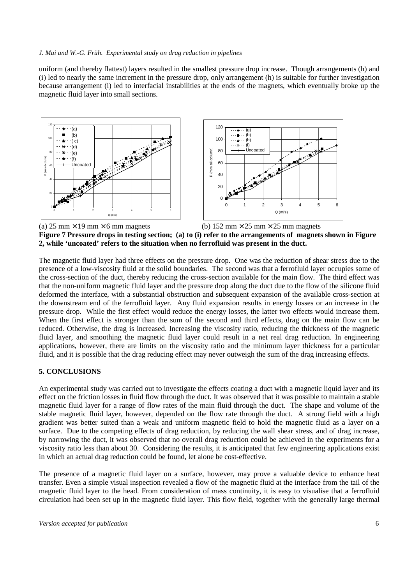#### *J. Mai and W.-G. Früh. Experimental study on drag reduction in pipelines*

uniform (and thereby flattest) layers resulted in the smallest pressure drop increase. Though arrangements (h) and (i) led to nearly the same increment in the pressure drop, only arrangement (h) is suitable for further investigation because arrangement (i) led to interfacial instabilities at the ends of the magnets, which eventually broke up the magnetic fluid layer into small sections.





(a)  $25 \text{ mm} \times 19 \text{ mm} \times 6 \text{ mm}$  magnets (b)  $152 \text{ mm} \times 25 \text{ mm} \times 25 \text{ mm}$  magnets



The magnetic fluid layer had three effects on the pressure drop. One was the reduction of shear stress due to the presence of a low-viscosity fluid at the solid boundaries. The second was that a ferrofluid layer occupies some of the cross-section of the duct, thereby reducing the cross-section available for the main flow. The third effect was that the non-uniform magnetic fluid layer and the pressure drop along the duct due to the flow of the silicone fluid deformed the interface, with a substantial obstruction and subsequent expansion of the available cross-section at the downstream end of the ferrofluid layer. Any fluid expansion results in energy losses or an increase in the pressure drop. While the first effect would reduce the energy losses, the latter two effects would increase them. When the first effect is stronger than the sum of the second and third effects, drag on the main flow can be reduced. Otherwise, the drag is increased. Increasing the viscosity ratio, reducing the thickness of the magnetic fluid layer, and smoothing the magnetic fluid layer could result in a net real drag reduction. In engineering applications, however, there are limits on the viscosity ratio and the minimum layer thickness for a particular fluid, and it is possible that the drag reducing effect may never outweigh the sum of the drag increasing effects.

#### **5. CONCLUSIONS**

An experimental study was carried out to investigate the effects coating a duct with a magnetic liquid layer and its effect on the friction losses in fluid flow through the duct. It was observed that it was possible to maintain a stable magnetic fluid layer for a range of flow rates of the main fluid through the duct. The shape and volume of the stable magnetic fluid layer, however, depended on the flow rate through the duct. A strong field with a high gradient was better suited than a weak and uniform magnetic field to hold the magnetic fluid as a layer on a surface. Due to the competing effects of drag reduction, by reducing the wall shear stress, and of drag increase, by narrowing the duct, it was observed that no overall drag reduction could be achieved in the experiments for a viscosity ratio less than about 30. Considering the results, it is anticipated that few engineering applications exist in which an actual drag reduction could be found, let alone be cost-effective.

The presence of a magnetic fluid layer on a surface, however, may prove a valuable device to enhance heat transfer. Even a simple visual inspection revealed a flow of the magnetic fluid at the interface from the tail of the magnetic fluid layer to the head. From consideration of mass continuity, it is easy to visualise that a ferrofluid circulation had been set up in the magnetic fluid layer. This flow field, together with the generally large thermal